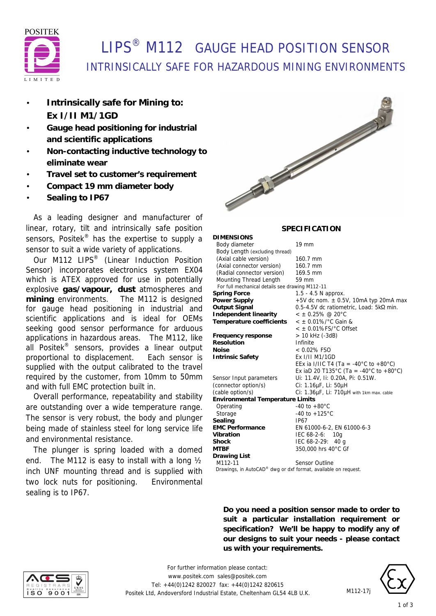

# **LIPS<sup>®</sup> M112 GAUGE HEAD POSITION SENSOR** INTRINSICALLY SAFE FOR HAZARDOUS MINING ENVIRONMENTS

- **Intrinsically safe for Mining to: Ex I/II M1/1GD**
- **Gauge head positioning for industrial and scientific applications**
- **Non-contacting inductive technology to eliminate wear**
- **Travel set to customer's requirement**
- **Compact 19 mm diameter body**
- **Sealing to IP67**

 As a leading designer and manufacturer of linear, rotary, tilt and intrinsically safe position sensors, Positek<sup>®</sup> has the expertise to supply a sensor to suit a wide variety of applications.

Our M112 LIPS<sup>®</sup> (Linear Induction Position Sensor) incorporates electronics system EX04 which is ATEX approved for use in potentially explosive **gas/vapour, dust** atmospheres and **mining** environments. The M112 is designed for gauge head positioning in industrial and scientific applications and is ideal for OEMs seeking good sensor performance for arduous applications in hazardous areas. The M112, like all Positek® sensors, provides a linear output proportional to displacement. Each sensor is supplied with the output calibrated to the travel required by the customer, from 10mm to 50mm and with full EMC protection built in.

 Overall performance, repeatability and stability are outstanding over a wide temperature range. The sensor is very robust, the body and plunger being made of stainless steel for long service life and environmental resistance.

 The plunger is spring loaded with a domed end. The M112 is easy to install with a long ½ inch UNF mounting thread and is supplied with two lock nuts for positioning. Environmental sealing is to IP67.



### **SPECIFICATION**

| <b>DIMENSIONS</b>                                              |                                           |  |
|----------------------------------------------------------------|-------------------------------------------|--|
| Body diameter                                                  | 19 mm                                     |  |
| Body Length (excluding thread)                                 |                                           |  |
| (Axial cable version)                                          | 160.7 mm                                  |  |
| (Axial connector version)                                      | 160.7 mm                                  |  |
| (Radial connector version)                                     | 169.5 mm                                  |  |
| <b>Mounting Thread Length</b>                                  | 59 mm                                     |  |
| For full mechanical details see drawing M112-11                |                                           |  |
| <b>Spring Force</b>                                            | $1.5 - 4.5$ N approx.                     |  |
| <b>Power Supply</b>                                            | +5V dc nom. $\pm$ 0.5V, 10mA typ 20mA max |  |
| <b>Output Signal</b>                                           | 0.5-4.5V dc ratiometric, Load: 5kΩ min.   |  |
| <b>Independent linearity</b>                                   | $<$ ± 0.25% @ 20°C                        |  |
| Temperature coefficients                                       | $<$ ± 0.01%/°C Gain &                     |  |
|                                                                | $<$ $\pm$ 0.01%FS/ $^{\circ}$ C Offset    |  |
| Frequency response                                             | > 10 kHz (-3dB)                           |  |
| <b>Resolution</b>                                              | Infinite                                  |  |
| <b>Noise</b>                                                   | $< 0.02\%$ FSO                            |  |
| <b>Intrinsic Safety</b>                                        | Ex I/II M1/1GD                            |  |
|                                                                | EEx ia I/IIC T4 (Ta = -40°C to +80°C)     |  |
|                                                                | Ex iaD 20 T135°C (Ta = -40°C to +80°C)    |  |
| Sensor Input parameters                                        | Ui: 11.4V, Ii: 0.20A, Pi: 0.51W.          |  |
| (connector option/s)                                           | Ci: 1.16µF, Li: 50µH                      |  |
| (cable option/s)                                               | Ci: 1.36µF, Li: 710µH with 1km max. cable |  |
| <b>Environmental Temperature Limits</b>                        |                                           |  |
| Operating                                                      | $-40$ to $+80^{\circ}$ C                  |  |
| Storage                                                        | $-40$ to $+125^{\circ}$ C                 |  |
| Sealing                                                        | IP67                                      |  |
| <b>EMC Performance</b>                                         | EN 61000-6-2, EN 61000-6-3                |  |
| Vibration                                                      | IEC 68-2-6:<br>10 <sub>q</sub>            |  |
| <b>Shock</b>                                                   | IEC 68-2-29:<br>40 g                      |  |
| <b>MTBF</b>                                                    | 350,000 hrs 40°C Gf                       |  |
| <b>Drawing List</b>                                            |                                           |  |
| M112-11                                                        | <b>Sensor Outline</b>                     |  |
| Drawings, in AutoCAD® dwg or dxf format, available on request. |                                           |  |
|                                                                |                                           |  |

**Do you need a position sensor made to order to suit a particular installation requirement or specification? We'll be happy to modify any of our designs to suit your needs - please contact us with your requirements.**



*For further information please contact:* www.positek.com sales@positek.com Tel: +44(0)1242 820027 fax: +44(0)1242 820615 Positek Ltd, Andoversford Industrial Estate, Cheltenham GL54 4LB U.K.



M112-17j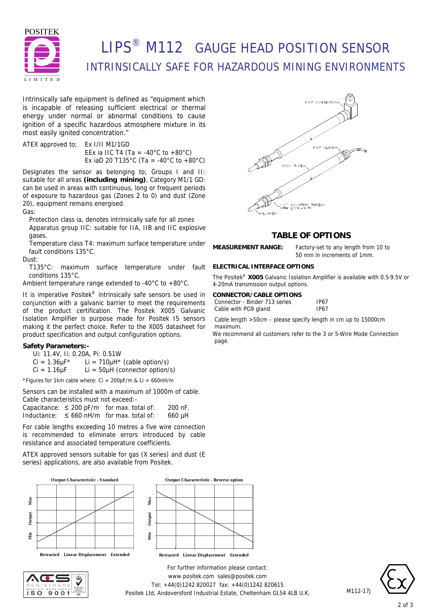

# **LIPS<sup>®</sup> M112 GAUGE HEAD POSITION SENSOR** INTRINSICALLY SAFE FOR HAZARDOUS MINING ENVIRONMENTS

Intrinsically safe equipment is defined as *"equipment which is incapable of releasing sufficient electrical or thermal energy under normal or abnormal conditions to cause ignition of a specific hazardous atmosphere mixture in its most easily ignited concentration."*

ATEX approved to; Ex I/II M1/1GD EEx ia IIC T4 (Ta = -40 $^{\circ}$ C to +80 $^{\circ}$ C) Ex iaD 20 T135°C (Ta = -40°C to +80°C)

Designates the sensor as belonging to; Groups I and II: suitable for all areas **(including mining)**, Category M1/1 GD: can be used in areas with continuous, long or frequent periods of exposure to hazardous gas (Zones 2 to 0) and dust (Zone 20), equipment remains energised.

Gas:

Protection class ia, denotes intrinsically safe for all zones Apparatus group IIC: suitable for IIA, IIB and IIC explosive gases.

Temperature class T4: maximum surface temperature under fault conditions 135°C.

Dust:

T135°C: maximum surface temperature under fault conditions 135°C.

Ambient temperature range extended to -40°C to +80°C.

It is imperative Positek® intrinsically safe sensors be used in conjunction with a galvanic barrier to meet the requirements of the product certification. The Positek X005 Galvanic Isolation Amplifier is purpose made for Positek IS sensors making it the perfect choice. Refer to the X005 datasheet for product specification and output configuration options.

#### **Safety Parameters:-**

Ui: 11.4V, Ii: 0.20A, Pi: 0.51W

 $Ci = 1.36 \mu F^*$  Li = 710 $\mu$ H<sup>\*</sup> (cable option/s)

 $Ci = 1.16 \mu F$  Li = 50 $\mu$ H (connector option/s)

\*Figures for 1km cable where:  $Ci = 200pF/m$  &  $Li = 660nH/m$ 

Sensors can be installed with a maximum of 1000m of cable. Cable characteristics must not exceed:-

Capacitance:  $\leq 200$  pF/m for max. total of: 200 nF. Inductance:  $\leq 660$  nH/m for max. total of: 660 µH

For cable lengths exceeding 10 metres a five wire connection is recommended to eliminate errors introduced by cable resistance and associated temperature coefficients.

ATEX approved sensors suitable for gas (X series) and dust (E series) applications, are also available from Positek.









### **TABLE OF OPTIONS**

**MEASUREMENT RANGE:** Factory-set to any length from 10 to

50 mm in increments of 1mm.

#### **ELECTRICAL INTERFACE OPTIONS**

The Positek® **X005** Galvanic Isolation Amplifier is available with 0.5-9.5V or 4-20mA transmission output options.

| CONNECTOR/CABLE OPTIONS       |             |  |
|-------------------------------|-------------|--|
| Connector - Binder 713 series | <b>IP67</b> |  |
| Cable with PG9 gland          | <b>IP67</b> |  |

Cable length >50cm – please specify length in cm up to 15000cm maximum.

We recommend all customers refer to the 3 or 5-Wire Mode Connection page.

*For further information please contact:* www.positek.com sales@positek.com Tel: +44(0)1242 820027 fax: +44(0)1242 820615 Positek Ltd, Andoversford Industrial Estate, Cheltenham GL54 4LB U.K.